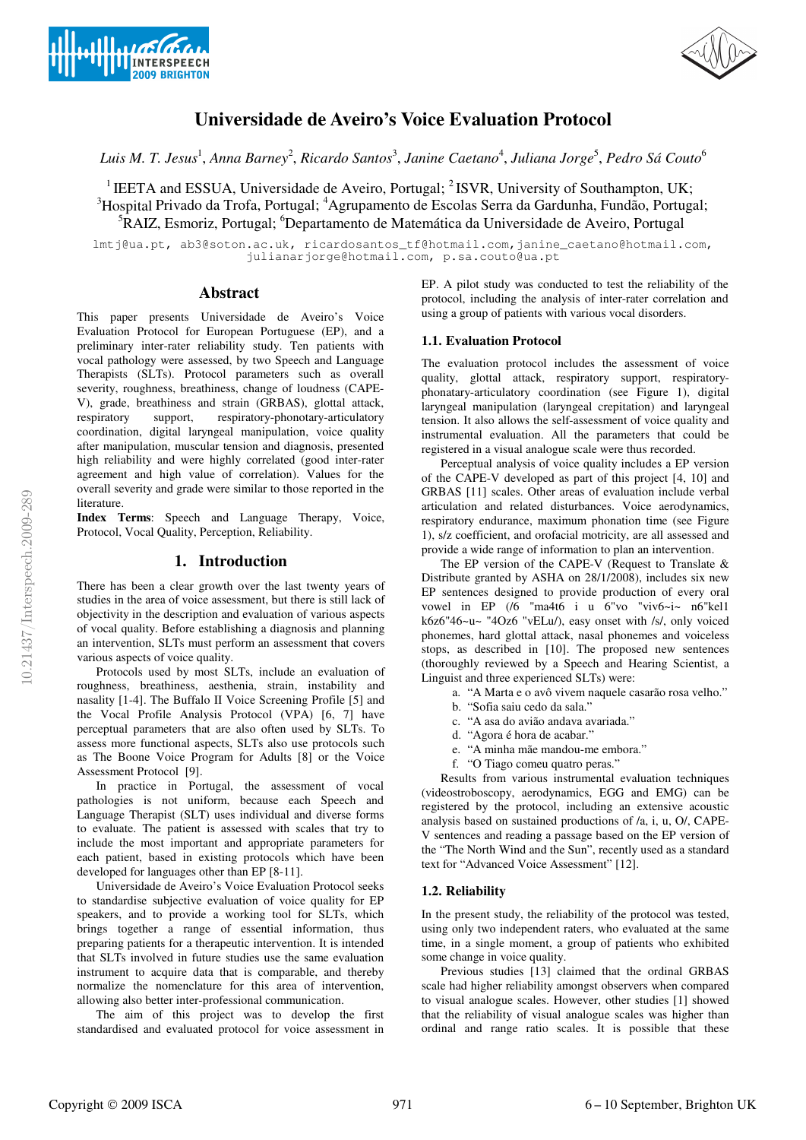



# **Universidade de Aveiro's Voice Evaluation Protocol**

 $L$ uis M. T. Jesus<sup>1</sup>, Anna Barney<sup>2</sup>, Ricardo Santos<sup>3</sup>, Janine Caetano<sup>4</sup>, Juliana Jorge<sup>5</sup>, Pedro Sá Couto<sup>6</sup>

<sup>1</sup> IEETA and ESSUA, Universidade de Aveiro, Portugal;  ${}^{2}$  ISVR, University of Southampton, UK; <sup>3</sup>Hospital Privado da Trofa, Portugal; <sup>4</sup>Agrupamento de Escolas Serra da Gardunha, Fundão, Portugal; <sup>5</sup>RAIZ, Esmoriz, Portugal; <sup>6</sup>Departamento de Matemática da Universidade de Aveiro, Portugal

lmtj@ua.pt, ab3@soton.ac.uk, ricardosantos\_tf@hotmail.com,janine\_caetano@hotmail.com, julianarjorge@hotmail.com, p.sa.couto@ua.pt

# **Abstract**

This paper presents Universidade de Aveiro's Voice Evaluation Protocol for European Portuguese (EP), and a preliminary inter-rater reliability study. Ten patients with vocal pathology were assessed, by two Speech and Language Therapists (SLTs). Protocol parameters such as overall severity, roughness, breathiness, change of loudness (CAPE-V), grade, breathiness and strain (GRBAS), glottal attack, respiratory support, respiratory-phonotary-articulatory coordination, digital laryngeal manipulation, voice quality after manipulation, muscular tension and diagnosis, presented high reliability and were highly correlated (good inter-rater agreement and high value of correlation). Values for the overall severity and grade were similar to those reported in the literature.

**Index Terms**: Speech and Language Therapy, Voice, Protocol, Vocal Quality, Perception, Reliability.

# **1. Introduction**

There has been a clear growth over the last twenty years of studies in the area of voice assessment, but there is still lack of objectivity in the description and evaluation of various aspects of vocal quality. Before establishing a diagnosis and planning an intervention, SLTs must perform an assessment that covers various aspects of voice quality.

Protocols used by most SLTs, include an evaluation of roughness, breathiness, aesthenia, strain, instability and nasality [1-4]. The Buffalo II Voice Screening Profile [5] and the Vocal Profile Analysis Protocol (VPA) [6, 7] have perceptual parameters that are also often used by SLTs. To assess more functional aspects, SLTs also use protocols such as The Boone Voice Program for Adults [8] or the Voice Assessment Protocol [9].

In practice in Portugal, the assessment of vocal pathologies is not uniform, because each Speech and Language Therapist (SLT) uses individual and diverse forms to evaluate. The patient is assessed with scales that try to include the most important and appropriate parameters for each patient, based in existing protocols which have been developed for languages other than EP [8-11].

Universidade de Aveiro's Voice Evaluation Protocol seeks to standardise subjective evaluation of voice quality for EP speakers, and to provide a working tool for SLTs, which brings together a range of essential information, thus preparing patients for a therapeutic intervention. It is intended that SLTs involved in future studies use the same evaluation instrument to acquire data that is comparable, and thereby normalize the nomenclature for this area of intervention, allowing also better inter-professional communication.

The aim of this project was to develop the first standardised and evaluated protocol for voice assessment in EP. A pilot study was conducted to test the reliability of the protocol, including the analysis of inter-rater correlation and using a group of patients with various vocal disorders.

# **1.1. Evaluation Protocol**

The evaluation protocol includes the assessment of voice quality, glottal attack, respiratory support, respiratoryphonatary-articulatory coordination (see Figure 1), digital laryngeal manipulation (laryngeal crepitation) and laryngeal tension. It also allows the self-assessment of voice quality and instrumental evaluation. All the parameters that could be registered in a visual analogue scale were thus recorded.

Perceptual analysis of voice quality includes a EP version of the CAPE-V developed as part of this project [4, 10] and GRBAS [11] scales. Other areas of evaluation include verbal articulation and related disturbances. Voice aerodynamics, respiratory endurance, maximum phonation time (see Figure 1), s/z coefficient, and orofacial motricity, are all assessed and provide a wide range of information to plan an intervention.

The EP version of the CAPE-V (Request to Translate & Distribute granted by ASHA on 28/1/2008), includes six new EP sentences designed to provide production of every oral vowel in EP (/6 "ma4t6 i u 6"vo "viv6~i~ n6"kel1 k6z6"46~u~ "4Oz6 "vELu/), easy onset with /s/, only voiced phonemes, hard glottal attack, nasal phonemes and voiceless stops, as described in [10]. The proposed new sentences (thoroughly reviewed by a Speech and Hearing Scientist, a Linguist and three experienced SLTs) were:

a. "A Marta e o avô vivem naquele casarão rosa velho."

- b. "Sofia saiu cedo da sala."
- c. "A asa do avião andava avariada."
- d. "Agora é hora de acabar."
- e. "A minha mãe mandou-me embora."
- f. "O Tiago comeu quatro peras."

Results from various instrumental evaluation techniques (videostroboscopy, aerodynamics, EGG and EMG) can be registered by the protocol, including an extensive acoustic analysis based on sustained productions of /a, i, u, O/, CAPE-V sentences and reading a passage based on the EP version of the "The North Wind and the Sun", recently used as a standard text for "Advanced Voice Assessment" [12].

## **1.2. Reliability**

In the present study, the reliability of the protocol was tested, using only two independent raters, who evaluated at the same time, in a single moment, a group of patients who exhibited some change in voice quality.

Previous studies [13] claimed that the ordinal GRBAS scale had higher reliability amongst observers when compared to visual analogue scales. However, other studies [1] showed that the reliability of visual analogue scales was higher than ordinal and range ratio scales. It is possible that these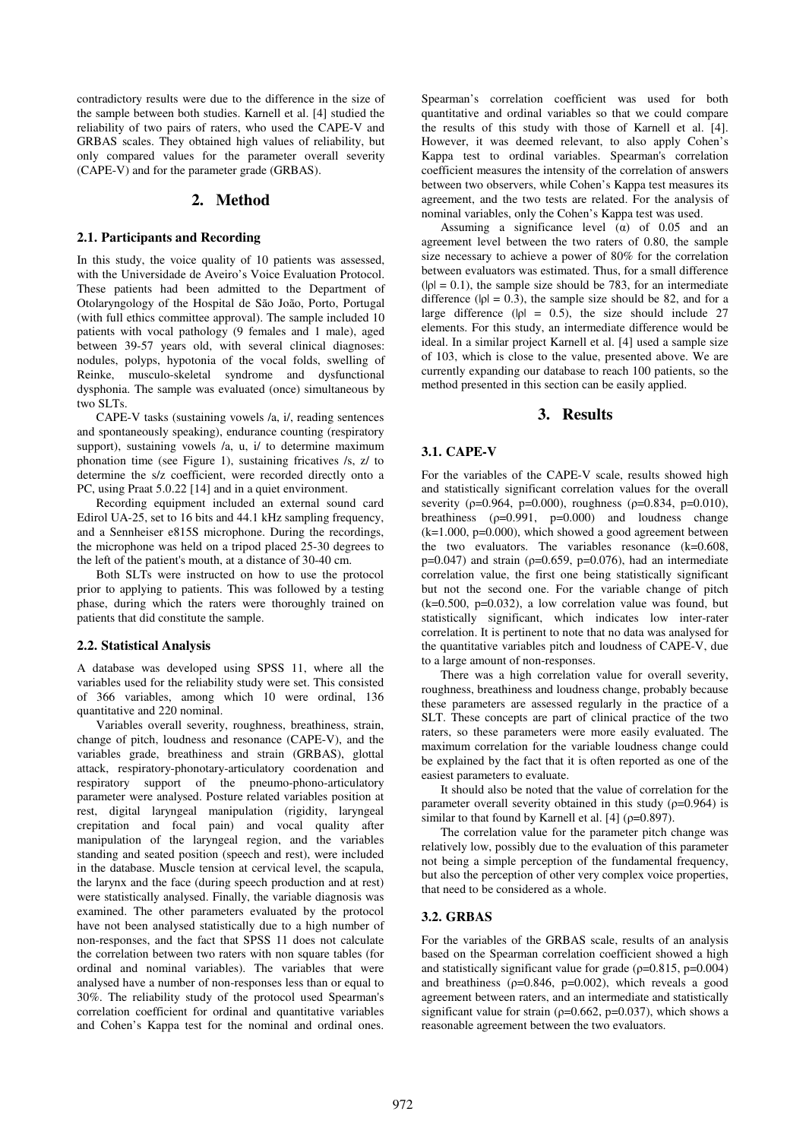contradictory results were due to the difference in the size of the sample between both studies. Karnell et al. [4] studied the reliability of two pairs of raters, who used the CAPE-V and GRBAS scales. They obtained high values of reliability, but only compared values for the parameter overall severity (CAPE-V) and for the parameter grade (GRBAS).

# **2. Method**

#### **2.1. Participants and Recording**

In this study, the voice quality of 10 patients was assessed, with the Universidade de Aveiro's Voice Evaluation Protocol. These patients had been admitted to the Department of Otolaryngology of the Hospital de São João, Porto, Portugal (with full ethics committee approval). The sample included 10 patients with vocal pathology (9 females and 1 male), aged between 39-57 years old, with several clinical diagnoses: nodules, polyps, hypotonia of the vocal folds, swelling of Reinke, musculo-skeletal syndrome and dysfunctional dysphonia. The sample was evaluated (once) simultaneous by two SLTs.

CAPE-V tasks (sustaining vowels /a, i/, reading sentences and spontaneously speaking), endurance counting (respiratory support), sustaining vowels /a, u, i/ to determine maximum phonation time (see Figure 1), sustaining fricatives /s, z/ to determine the s/z coefficient, were recorded directly onto a PC, using Praat 5.0.22 [14] and in a quiet environment.

Recording equipment included an external sound card Edirol UA-25, set to 16 bits and 44.1 kHz sampling frequency, and a Sennheiser e815S microphone. During the recordings, the microphone was held on a tripod placed 25-30 degrees to the left of the patient's mouth, at a distance of 30-40 cm.

Both SLTs were instructed on how to use the protocol prior to applying to patients. This was followed by a testing phase, during which the raters were thoroughly trained on patients that did constitute the sample.

## **2.2. Statistical Analysis**

A database was developed using SPSS 11, where all the variables used for the reliability study were set. This consisted of 366 variables, among which 10 were ordinal, 136 quantitative and 220 nominal.

Variables overall severity, roughness, breathiness, strain, change of pitch, loudness and resonance (CAPE-V), and the variables grade, breathiness and strain (GRBAS), glottal attack, respiratory-phonotary-articulatory coordenation and respiratory support of the pneumo-phono-articulatory parameter were analysed. Posture related variables position at rest, digital laryngeal manipulation (rigidity, laryngeal crepitation and focal pain) and vocal quality after manipulation of the laryngeal region, and the variables standing and seated position (speech and rest), were included in the database. Muscle tension at cervical level, the scapula, the larynx and the face (during speech production and at rest) were statistically analysed. Finally, the variable diagnosis was examined. The other parameters evaluated by the protocol have not been analysed statistically due to a high number of non-responses, and the fact that SPSS 11 does not calculate the correlation between two raters with non square tables (for ordinal and nominal variables). The variables that were analysed have a number of non-responses less than or equal to 30%. The reliability study of the protocol used Spearman's correlation coefficient for ordinal and quantitative variables and Cohen's Kappa test for the nominal and ordinal ones. Spearman's correlation coefficient was used for both quantitative and ordinal variables so that we could compare the results of this study with those of Karnell et al. [4]. However, it was deemed relevant, to also apply Cohen's Kappa test to ordinal variables. Spearman's correlation coefficient measures the intensity of the correlation of answers between two observers, while Cohen's Kappa test measures its agreement, and the two tests are related. For the analysis of nominal variables, only the Cohen's Kappa test was used.

Assuming a significance level  $(\alpha)$  of 0.05 and an agreement level between the two raters of 0.80, the sample size necessary to achieve a power of 80% for the correlation between evaluators was estimated. Thus, for a small difference  $(|\rho| = 0.1)$ , the sample size should be 783, for an intermediate difference ( $|\rho| = 0.3$ ), the sample size should be 82, and for a large difference ( $|\rho| = 0.5$ ), the size should include 27 elements. For this study, an intermediate difference would be ideal. In a similar project Karnell et al. [4] used a sample size of 103, which is close to the value, presented above. We are currently expanding our database to reach 100 patients, so the method presented in this section can be easily applied.

# **3. Results**

## **3.1. CAPE-V**

For the variables of the CAPE-V scale, results showed high and statistically significant correlation values for the overall severity ( $p=0.964$ ,  $p=0.000$ ), roughness ( $p=0.834$ ,  $p=0.010$ ), breathiness  $(p=0.991, p=0.000)$  and loudness change  $(k=1.000, p=0.000)$ , which showed a good agreement between the two evaluators. The variables resonance (k=0.608,  $p=0.047$ ) and strain ( $p=0.659$ ,  $p=0.076$ ), had an intermediate correlation value, the first one being statistically significant but not the second one. For the variable change of pitch  $(k=0.500, p=0.032)$ , a low correlation value was found, but statistically significant, which indicates low inter-rater correlation. It is pertinent to note that no data was analysed for the quantitative variables pitch and loudness of CAPE-V, due to a large amount of non-responses.

There was a high correlation value for overall severity, roughness, breathiness and loudness change, probably because these parameters are assessed regularly in the practice of a SLT. These concepts are part of clinical practice of the two raters, so these parameters were more easily evaluated. The maximum correlation for the variable loudness change could be explained by the fact that it is often reported as one of the easiest parameters to evaluate.

It should also be noted that the value of correlation for the parameter overall severity obtained in this study  $(p=0.964)$  is similar to that found by Karnell et al. [4] ( $\rho$ =0.897).

The correlation value for the parameter pitch change was relatively low, possibly due to the evaluation of this parameter not being a simple perception of the fundamental frequency, but also the perception of other very complex voice properties, that need to be considered as a whole.

# **3.2. GRBAS**

For the variables of the GRBAS scale, results of an analysis based on the Spearman correlation coefficient showed a high and statistically significant value for grade ( $\rho$ =0.815,  $p$ =0.004) and breathiness  $(p=0.846, p=0.002)$ , which reveals a good agreement between raters, and an intermediate and statistically significant value for strain ( $\rho$ =0.662, p=0.037), which shows a reasonable agreement between the two evaluators.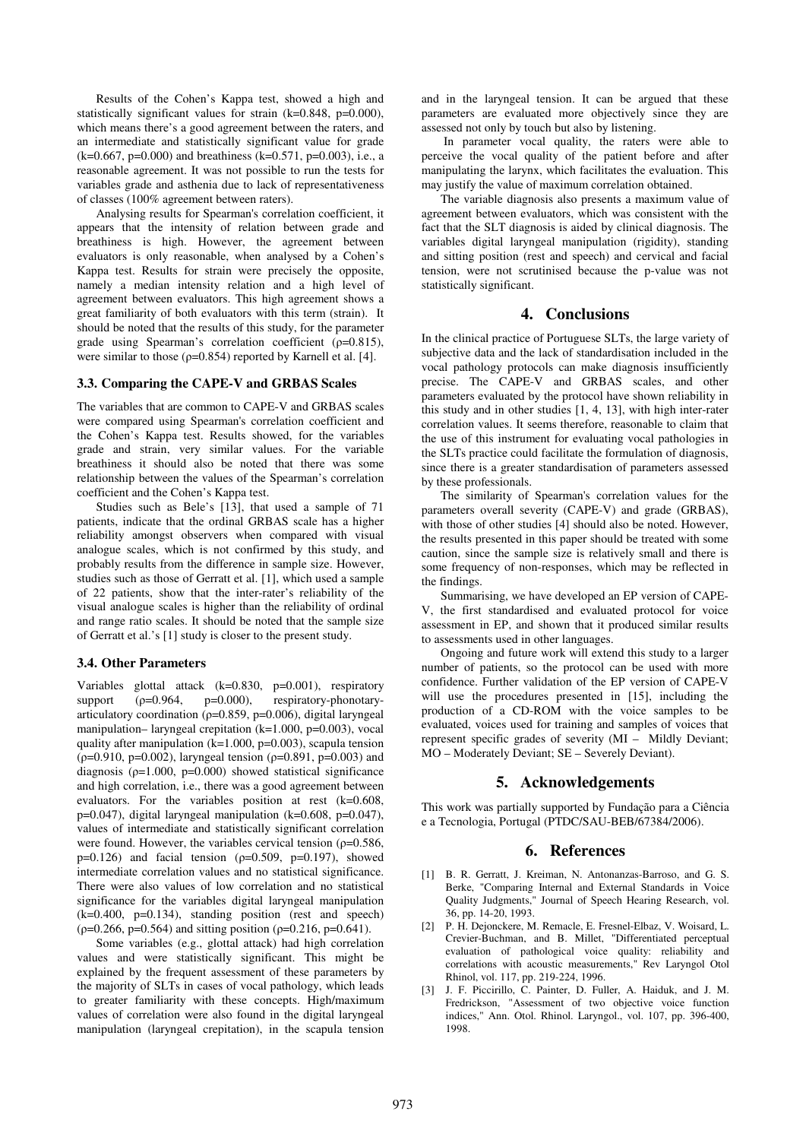Results of the Cohen's Kappa test, showed a high and statistically significant values for strain (k=0.848, p=0.000), which means there's a good agreement between the raters, and an intermediate and statistically significant value for grade  $(k=0.667, p=0.000)$  and breathiness  $(k=0.571, p=0.003)$ , i.e., a reasonable agreement. It was not possible to run the tests for variables grade and asthenia due to lack of representativeness of classes (100% agreement between raters).

Analysing results for Spearman's correlation coefficient, it appears that the intensity of relation between grade and breathiness is high. However, the agreement between evaluators is only reasonable, when analysed by a Cohen's Kappa test. Results for strain were precisely the opposite, namely a median intensity relation and a high level of agreement between evaluators. This high agreement shows a great familiarity of both evaluators with this term (strain). It should be noted that the results of this study, for the parameter grade using Spearman's correlation coefficient  $(\rho=0.815)$ , were similar to those  $(p=0.854)$  reported by Karnell et al. [4].

#### **3.3. Comparing the CAPE-V and GRBAS Scales**

The variables that are common to CAPE-V and GRBAS scales were compared using Spearman's correlation coefficient and the Cohen's Kappa test. Results showed, for the variables grade and strain, very similar values. For the variable breathiness it should also be noted that there was some relationship between the values of the Spearman's correlation coefficient and the Cohen's Kappa test.

Studies such as Bele's [13], that used a sample of 71 patients, indicate that the ordinal GRBAS scale has a higher reliability amongst observers when compared with visual analogue scales, which is not confirmed by this study, and probably results from the difference in sample size. However, studies such as those of Gerratt et al. [1], which used a sample of 22 patients, show that the inter-rater's reliability of the visual analogue scales is higher than the reliability of ordinal and range ratio scales. It should be noted that the sample size of Gerratt et al.'s [1] study is closer to the present study.

#### **3.4. Other Parameters**

Variables glottal attack (k=0.830, p=0.001), respiratory<br>support (p=0.964, p=0.000), respiratory-phonotarysupport  $(\rho=0.964, \rho=0.000)$ , respiratory-phonotaryarticulatory coordination ( $\rho$ =0.859, p=0.006), digital laryngeal manipulation– laryngeal crepitation (k=1.000, p=0.003), vocal quality after manipulation (k=1.000, p=0.003), scapula tension ( $p=0.910$ ,  $p=0.002$ ), laryngeal tension ( $p=0.891$ ,  $p=0.003$ ) and diagnosis  $(\rho=1.000, p=0.000)$  showed statistical significance and high correlation, i.e., there was a good agreement between evaluators. For the variables position at rest (k=0.608, p=0.047), digital laryngeal manipulation (k=0.608, p=0.047), values of intermediate and statistically significant correlation were found. However, the variables cervical tension ( $\rho$ =0.586, p=0.126) and facial tension ( $p=0.509$ ,  $p=0.197$ ), showed intermediate correlation values and no statistical significance. There were also values of low correlation and no statistical significance for the variables digital laryngeal manipulation  $(k=0.400, p=0.134)$ , standing position (rest and speech)  $(p=0.266, p=0.564)$  and sitting position  $(p=0.216, p=0.641)$ .

Some variables (e.g., glottal attack) had high correlation values and were statistically significant. This might be explained by the frequent assessment of these parameters by the majority of SLTs in cases of vocal pathology, which leads to greater familiarity with these concepts. High/maximum values of correlation were also found in the digital laryngeal manipulation (laryngeal crepitation), in the scapula tension

and in the laryngeal tension. It can be argued that these parameters are evaluated more objectively since they are assessed not only by touch but also by listening.

 In parameter vocal quality, the raters were able to perceive the vocal quality of the patient before and after manipulating the larynx, which facilitates the evaluation. This may justify the value of maximum correlation obtained.

The variable diagnosis also presents a maximum value of agreement between evaluators, which was consistent with the fact that the SLT diagnosis is aided by clinical diagnosis. The variables digital laryngeal manipulation (rigidity), standing and sitting position (rest and speech) and cervical and facial tension, were not scrutinised because the p-value was not statistically significant.

#### **4. Conclusions**

In the clinical practice of Portuguese SLTs, the large variety of subjective data and the lack of standardisation included in the vocal pathology protocols can make diagnosis insufficiently precise. The CAPE-V and GRBAS scales, and other parameters evaluated by the protocol have shown reliability in this study and in other studies [1, 4, 13], with high inter-rater correlation values. It seems therefore, reasonable to claim that the use of this instrument for evaluating vocal pathologies in the SLTs practice could facilitate the formulation of diagnosis, since there is a greater standardisation of parameters assessed by these professionals.

The similarity of Spearman's correlation values for the parameters overall severity (CAPE-V) and grade (GRBAS), with those of other studies [4] should also be noted. However, the results presented in this paper should be treated with some caution, since the sample size is relatively small and there is some frequency of non-responses, which may be reflected in the findings.

Summarising, we have developed an EP version of CAPE-V, the first standardised and evaluated protocol for voice assessment in EP, and shown that it produced similar results to assessments used in other languages.

Ongoing and future work will extend this study to a larger number of patients, so the protocol can be used with more confidence. Further validation of the EP version of CAPE-V will use the procedures presented in [15], including the production of a CD-ROM with the voice samples to be evaluated, voices used for training and samples of voices that represent specific grades of severity (MI – Mildly Deviant; MO – Moderately Deviant; SE – Severely Deviant).

#### **5. Acknowledgements**

This work was partially supported by Fundação para a Ciência e a Tecnologia, Portugal (PTDC/SAU-BEB/67384/2006).

## **6. References**

- [1] B. R. Gerratt, J. Kreiman, N. Antonanzas-Barroso, and G. S. Berke, "Comparing Internal and External Standards in Voice Quality Judgments," Journal of Speech Hearing Research, vol. 36, pp. 14-20, 1993.
- [2] P. H. Dejonckere, M. Remacle, E. Fresnel-Elbaz, V. Woisard, L. Crevier-Buchman, and B. Millet, "Differentiated perceptual evaluation of pathological voice quality: reliability and correlations with acoustic measurements," Rev Laryngol Otol Rhinol, vol. 117, pp. 219-224, 1996.
- [3] J. F. Piccirillo, C. Painter, D. Fuller, A. Haiduk, and J. M. Fredrickson, "Assessment of two objective voice function indices," Ann. Otol. Rhinol. Laryngol., vol. 107, pp. 396-400, 1998.